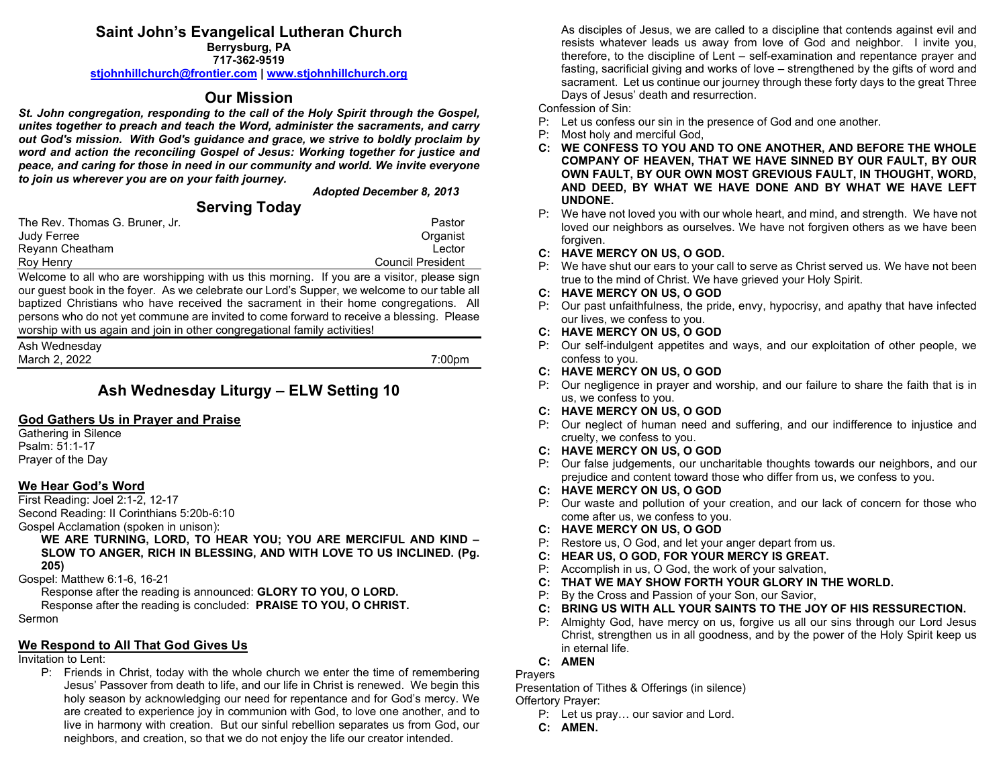#### **Saint John's Evangelical Lutheran Church Berrysburg, PA**

**717-362-9519**

**[stjohnhillchurch@frontier.com](mailto:stjohnhillchurch@frontier.com) | [www.stjohnhillchurch.org](http://www.stjohnhillchurch.org/)**

# **Our Mission**

*St. John congregation, responding to the call of the Holy Spirit through the Gospel, unites together to preach and teach the Word, administer the sacraments, and carry out God's mission. With God's guidance and grace, we strive to boldly proclaim by word and action the reconciling Gospel of Jesus: Working together for justice and peace, and caring for those in need in our community and world. We invite everyone to join us wherever you are on your faith journey.*

*Adopted December 8, 2013*

# **Serving Today**

| The Rev. Thomas G. Bruner, Jr. | Pastor            |
|--------------------------------|-------------------|
| Judy Ferree                    | Organist          |
| Reyann Cheatham                | Lector            |
| Roy Henry                      | Council President |

Welcome to all who are worshipping with us this morning. If you are a visitor, please sign our guest book in the foyer. As we celebrate our Lord's Supper, we welcome to our table all baptized Christians who have received the sacrament in their home congregations. All persons who do not yet commune are invited to come forward to receive a blessing. Please worship with us again and join in other congregational family activities!

| Ash Wednesday |                    |
|---------------|--------------------|
| March 2, 2022 | 7:00 <sub>pm</sub> |

# **Ash Wednesday Liturgy – ELW Setting 10**

## **God Gathers Us in Prayer and Praise**

Gathering in Silence Psalm: 51:1-17 Prayer of the Day

## **We Hear God's Word**

First Reading: Joel 2:1-2, 12-17 Second Reading: II Corinthians 5:20b-6:10

Gospel Acclamation (spoken in unison):

**WE ARE TURNING, LORD, TO HEAR YOU; YOU ARE MERCIFUL AND KIND – SLOW TO ANGER, RICH IN BLESSING, AND WITH LOVE TO US INCLINED. (Pg. 205)**

Gospel: Matthew 6:1-6, 16-21

Response after the reading is announced: **GLORY TO YOU, O LORD.**

Response after the reading is concluded: **PRAISE TO YOU, O CHRIST.**

Sermon

## **We Respond to All That God Gives Us**

#### Invitation to Lent:

P: Friends in Christ, today with the whole church we enter the time of remembering Jesus' Passover from death to life, and our life in Christ is renewed. We begin this holy season by acknowledging our need for repentance and for God's mercy. We are created to experience joy in communion with God, to love one another, and to live in harmony with creation. But our sinful rebellion separates us from God, our neighbors, and creation, so that we do not enjoy the life our creator intended.

As disciples of Jesus, we are called to a discipline that contends against evil and resists whatever leads us away from love of God and neighbor. I invite you, therefore, to the discipline of Lent – self-examination and repentance prayer and fasting, sacrificial giving and works of love – strengthened by the gifts of word and sacrament. Let us continue our journey through these forty days to the great Three Days of Jesus' death and resurrection.

Confession of Sin:

- P: Let us confess our sin in the presence of God and one another.
- P: Most holy and merciful God,
- **C: WE CONFESS TO YOU AND TO ONE ANOTHER, AND BEFORE THE WHOLE COMPANY OF HEAVEN, THAT WE HAVE SINNED BY OUR FAULT, BY OUR OWN FAULT, BY OUR OWN MOST GREVIOUS FAULT, IN THOUGHT, WORD, AND DEED, BY WHAT WE HAVE DONE AND BY WHAT WE HAVE LEFT UNDONE.**
- P: We have not loved you with our whole heart, and mind, and strength. We have not loved our neighbors as ourselves. We have not forgiven others as we have been forgiven.
- **C: HAVE MERCY ON US, O GOD.**
- P: We have shut our ears to your call to serve as Christ served us. We have not been true to the mind of Christ. We have grieved your Holy Spirit.
- **C: HAVE MERCY ON US, O GOD**
- P: Our past unfaithfulness, the pride, envy, hypocrisy, and apathy that have infected our lives, we confess to you.
- **C: HAVE MERCY ON US, O GOD**
- P: Our self-indulgent appetites and ways, and our exploitation of other people, we confess to you.
- **C: HAVE MERCY ON US, O GOD**
- P: Our negligence in prayer and worship, and our failure to share the faith that is in us, we confess to you.
- **C: HAVE MERCY ON US, O GOD**
- P: Our neglect of human need and suffering, and our indifference to injustice and cruelty, we confess to you.
- **C: HAVE MERCY ON US, O GOD**
- P: Our false judgements, our uncharitable thoughts towards our neighbors, and our prejudice and content toward those who differ from us, we confess to you.
- **C: HAVE MERCY ON US, O GOD**
- P: Our waste and pollution of your creation, and our lack of concern for those who come after us, we confess to you.
- **C: HAVE MERCY ON US, O GOD**
- P: Restore us, O God, and let your anger depart from us.
- **C: HEAR US, O GOD, FOR YOUR MERCY IS GREAT.**
- P: Accomplish in us, O God, the work of your salvation,
- **C: THAT WE MAY SHOW FORTH YOUR GLORY IN THE WORLD.**
- P: By the Cross and Passion of your Son, our Savior,
- **C: BRING US WITH ALL YOUR SAINTS TO THE JOY OF HIS RESSURECTION.**
- P: Almighty God, have mercy on us, forgive us all our sins through our Lord Jesus Christ, strengthen us in all goodness, and by the power of the Holy Spirit keep us in eternal life.
- **C: AMEN**

**Prayers** 

Presentation of Tithes & Offerings (in silence) Offertory Prayer:

- P: Let us pray… our savior and Lord.
- **C: AMEN.**